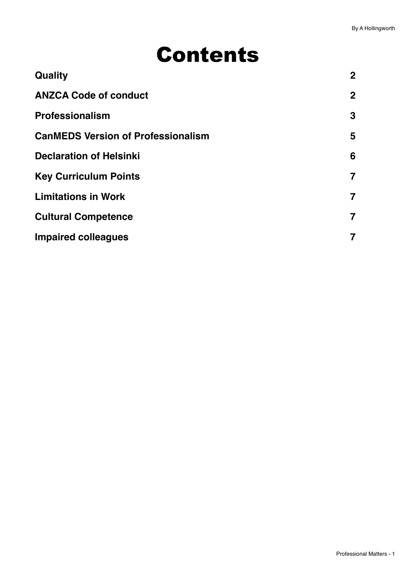# Contents

| $\mathbf{2}$            |
|-------------------------|
| $\overline{2}$          |
| $\mathbf{3}$            |
| 5                       |
| 6                       |
| $\overline{\mathbf{z}}$ |
| $\overline{\mathbf{z}}$ |
| $\overline{7}$          |
| 7                       |
|                         |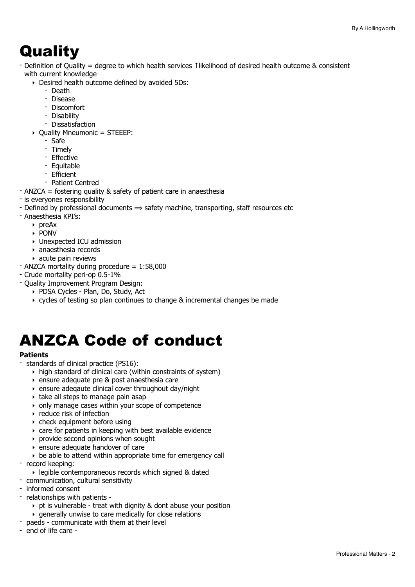## <span id="page-1-0"></span>**Quality**

- Definition of Quality = degree to which health services ↑likelihood of desired health outcome & consistent with current knowledge

- ‣ Desired health outcome defined by avoided 5Ds:
	- Death
	- Disease
	- Discomfort
	- Disability
	- Dissatisfaction
- ‣ Quality Mneumonic = STEEEP:
	- Safe
	- Timely
	- Effective
	- Equitable
	- Efficient
- Patient Centred
- ANZCA = fostering quality & safety of patient care in anaesthesia
- is everyones responsibility
- Defined by professional documents  $\Rightarrow$  safety machine, transporting, staff resources etc
- Anaesthesia KPI's:
	- ‣ preAx
	- ‣ PONV
	- ‣ Unexpected ICU admission
	- ‣ anaesthesia records
	- ‣ acute pain reviews
- ANZCA mortality during procedure = 1:58,000
- Crude mortality peri-op 0.5-1%
- Quality Improvement Program Design:
	- ‣ PDSA Cycles Plan, Do, Study, Act
	- ‣ cycles of testing so plan continues to change & incremental changes be made

## <span id="page-1-1"></span>ANZCA Code of conduct

#### **Patients**

- standards of clinical practice (PS16):
	- ‣ high standard of clinical care (within constraints of system)
	- ‣ ensure adequate pre & post anaesthesia care
	- ‣ ensure adeqaute clinical cover throughout day/night
	- $\rightarrow$  take all steps to manage pain asap
	- ‣ only manage cases within your scope of competence
	- ‣ reduce risk of infection
	- $\rightarrow$  check equipment before using
	- ‣ care for patients in keeping with best available evidence
	- ‣ provide second opinions when sought
	- ‣ ensure adequate handover of care
	- ‣ be able to attend within appropriate time for emergency call
- record keeping:
	- ‣ legible contemporaneous records which signed & dated
- communication, cultural sensitivity
- informed consent
- relationships with patients
	- ‣ pt is vulnerable treat with dignity & dont abuse your position
	- ‣ generally unwise to care medically for close relations
- paeds communicate with them at their level
- end of life care -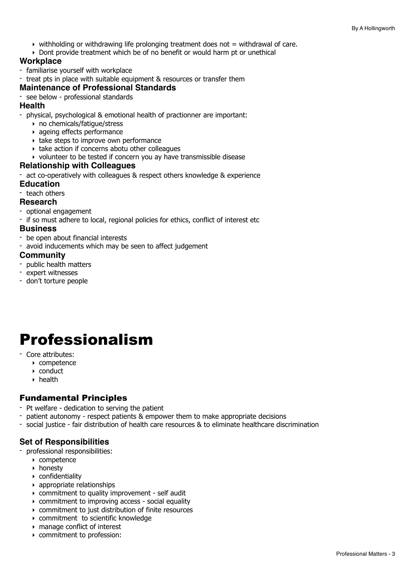- $\rightarrow$  withholding or withdrawing life prolonging treatment does not  $=$  withdrawal of care.
- ‣ Dont provide treatment which be of no benefit or would harm pt or unethical

#### **Workplace**

- familiarise yourself with workplace
- treat pts in place with suitable equipment & resources or transfer them

#### **Maintenance of Professional Standards**

- see below - professional standards

#### **Health**

- physical, psychological & emotional health of practionner are important:
	- ‣ no chemicals/fatigue/stress
	- ‣ ageing effects performance
	- ‣ take steps to improve own performance
	- ‣ take action if concerns abotu other colleagues
	- ‣ volunteer to be tested if concern you ay have transmissible disease

#### **Relationship with Colleagues**

- act co-operatively with colleagues & respect others knowledge & experience **Education**

#### - teach others

#### **Research**

- optional engagement
- if so must adhere to local, regional policies for ethics, conflict of interest etc

#### **Business**

- be open about financial interests
- avoid inducements which may be seen to affect judgement

#### **Community**

- public health matters
- expert witnesses
- don't torture people

## <span id="page-2-0"></span>Professionalism

- Core attributes:
	- ‣ competence
	- ‣ conduct
	- ‣ health

#### Fundamental Principles

- Pt welfare dedication to serving the patient
- patient autonomy respect patients & empower them to make appropriate decisions
- social justice fair distribution of health care resources & to eliminate healthcare discrimination

#### **Set of Responsibilities**

- professional responsibilities:
	- ‣ competence
	- ‣ honesty
	- ‣ confidentiality
	- ‣ appropriate relationships
	- ‣ commitment to quality improvement self audit
	- ‣ commitment to improving access social equality
	- ‣ commitment to just distribution of finite resources
	- ‣ commitment to scientific knowledge
	- ‣ manage conflict of interest
	- ‣ commitment to profession: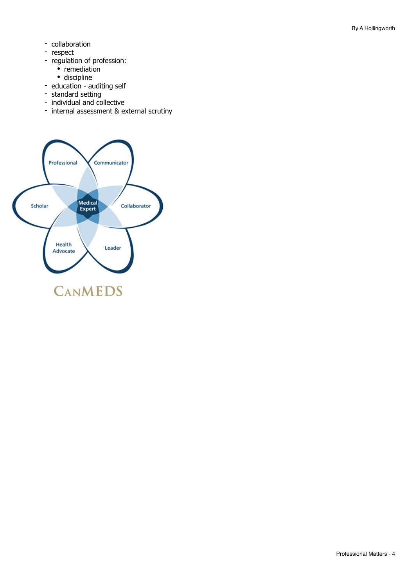- collaboration
- respect
- regulation of profession:
	- remediation
	- discipline
- education auditing self
- standard setting
- individual and collective
- internal assessment & external scrutiny

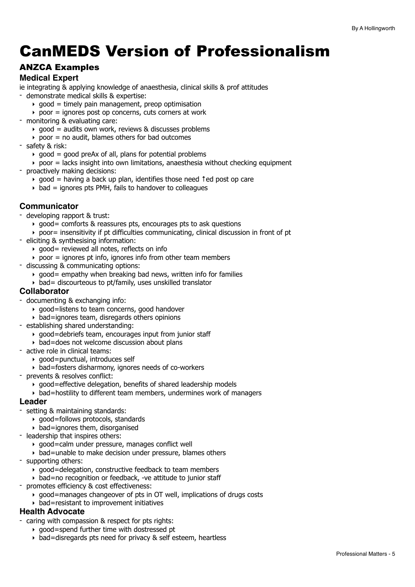## <span id="page-4-0"></span>CanMEDS Version of Professionalism

#### ANZCA Examples

#### **Medical Expert**

ie integrating & applying knowledge of anaesthesia, clinical skills & prof attitudes

- demonstrate medical skills & expertise:
	- $\rightarrow$  good = timely pain management, preop optimisation
	- $\rightarrow$  poor = ignores post op concerns, cuts corners at work
- monitoring & evaluating care:
	- $\rightarrow$  good = audits own work, reviews & discusses problems
	- $\rightarrow$  poor = no audit, blames others for bad outcomes
- safety & risk:
	- $\rightarrow$  good = good preAx of all, plans for potential problems
	- $\rightarrow$  poor  $=$  lacks insight into own limitations, anaesthesia without checking equipment
- proactively making decisions:
	- ‣ good = having a back up plan, identifies those need ↑ed post op care
	- $\rightarrow$  bad = ignores pts PMH, fails to handover to colleagues

#### **Communicator**

- developing rapport & trust:
	- ‣ good= comforts & reassures pts, encourages pts to ask questions
	- $\rightarrow$  poor= insensitivity if pt difficulties communicating, clinical discussion in front of pt
- eliciting & synthesising information:
	- $\rightarrow$  good= reviewed all notes, reflects on info
	- $\rightarrow$  poor = ignores pt info, ignores info from other team members
- discussing & communicating options:
	- $\rightarrow$  good = empathy when breaking bad news, written info for families
	- $\rightarrow$  bad= discourteous to pt/family, uses unskilled translator

#### **Collaborator**

- documenting & exchanging info:
	- ‣ good=listens to team concerns, good handover
	- ‣ bad=ignores team, disregards others opinions
- establishing shared understanding:
	- ‣ good=debriefs team, encourages input from junior staff
	- ‣ bad=does not welcome discussion about plans
- active role in clinical teams:
	- ‣ good=punctual, introduces self
	- ‣ bad=fosters disharmony, ignores needs of co-workers
- prevents & resolves conflict:
	- ‣ good=effective delegation, benefits of shared leadership models
	- ‣ bad=hostility to different team members, undermines work of managers

#### **Leader**

- setting & maintaining standards:
	- ‣ good=follows protocols, standards
	- $\rightarrow$  bad=ignores them, disorganised
- leadership that inspires others:
	- ‣ good=calm under pressure, manages conflict well
	- ‣ bad=unable to make decision under pressure, blames others
- supporting others:
	- ‣ good=delegation, constructive feedback to team members
	- ‣ bad=no recognition or feedback, -ve attitude to junior staff
- promotes efficiency & cost effectiveness:
	- ‣ good=manages changeover of pts in OT well, implications of drugs costs
	- $\rightarrow$  bad=resistant to improvement initiatives

#### **Health Advocate**

- caring with compassion & respect for pts rights:
	- ‣ good=spend further time with dostressed pt
	- ‣ bad=disregards pts need for privacy & self esteem, heartless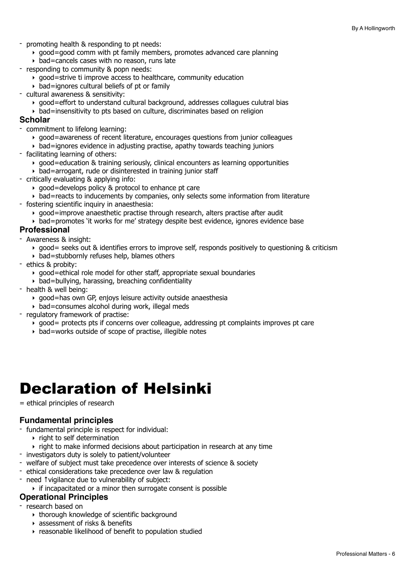- promoting health & responding to pt needs:
	- $\rightarrow$  good=good comm with pt family members, promotes advanced care planning
	- $\rightarrow$  bad=cancels cases with no reason, runs late
- responding to community & popn needs:
	- $\rightarrow$  good=strive ti improve access to healthcare, community education
	- $\rightarrow$  bad=ignores cultural beliefs of pt or family
- cultural awareness & sensitivity:
	- ‣ good=effort to understand cultural background, addresses collagues culutral bias
	- ‣ bad=insensitivity to pts based on culture, discriminates based on religion

#### **Scholar**

- commitment to lifelong learning:
	- ‣ good=awareness of recent literature, encourages questions from junior colleagues
	- ‣ bad=ignores evidence in adjusting practise, apathy towards teaching juniors
- facilitating learning of others:
	- $\rightarrow$  good=education & training seriously, clinical encounters as learning opportunities
	- ‣ bad=arrogant, rude or disinterested in training junior staff
- critically evaluating & applying info:
	- $\rightarrow$  good=develops policy & protocol to enhance pt care
	- ‣ bad=reacts to inducements by companies, only selects some information from literature
- fostering scientific inquiry in anaesthesia:
	- ‣ good=improve anaesthetic practise through research, alters practise after audit
	- ‣ bad=promotes 'it works for me' strategy despite best evidence, ignores evidence base

#### **Professional**

- Awareness & insight:
	- ‣ good= seeks out & identifies errors to improve self, responds positively to questioning & criticism
	- $\rightarrow$  bad=stubbornly refuses help, blames others
- ethics & probity:
	- ‣ good=ethical role model for other staff, appropriate sexual boundaries
	- $\rightarrow$  bad=bullying, harassing, breaching confidentiality
- health & well being:
	- ‣ good=has own GP, enjoys leisure activity outside anaesthesia
	- $\rightarrow$  bad=consumes alcohol during work, illegal meds
- regulatory framework of practise:
	- ‣ good= protects pts if concerns over colleague, addressing pt complaints improves pt care
	- ‣ bad=works outside of scope of practise, illegible notes

## <span id="page-5-0"></span>Declaration of Helsinki

#### = ethical principles of research

#### **Fundamental principles**

- fundamental principle is respect for individual:
	- ‣ right to self determination
	- ‣ right to make informed decisions about participation in research at any time
- investigators duty is solely to patient/volunteer
- welfare of subject must take precedence over interests of science & society
- ethical considerations take precedence over law & regulation
- need ↑vigilance due to vulnerability of subject:
- ‣ if incapacitated or a minor then surrogate consent is possible

#### **Operational Principles**

- research based on
	- ‣ thorough knowledge of scientific background
	- ‣ assessment of risks & benefits
	- ‣ reasonable likelihood of benefit to population studied